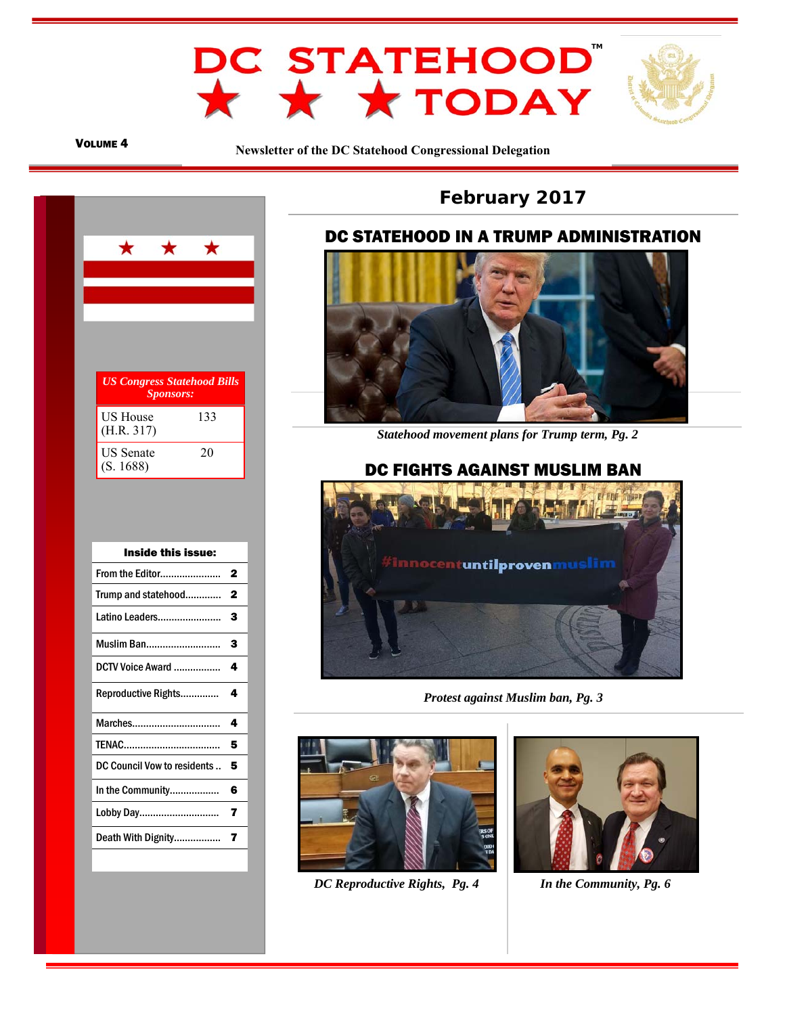

### VOLUME 4

**Newsletter of the DC Statehood Congressional Delegation** 



| Inside this issue:          |   |
|-----------------------------|---|
| <b>From the Editor</b>      | 2 |
| Trump and statehood         | 2 |
| Latino Leaders              | 3 |
| <b>Muslim Ban</b>           | 3 |
| DCTV Voice Award            | 4 |
| Reproductive Rights         | 4 |
| Marches                     | 4 |
| TENAC                       | 5 |
| DC Council Vow to residents | 5 |
| In the Community            | 6 |
| Lobby Day                   | 7 |
| Death With Dignity          | 7 |
|                             |   |

# **February 2017**

### $\overline{\phantom{a}}$ DC STATEHOOD IN A TRUMP ADMINISTRATION



 *Statehood movement plans for Trump term, Pg. 2* 

# DC FIGHTS AGAINST MUSLIM BAN



*Protest against Muslim ban, Pg. 3* 



*DC Reproductive Rights, Pg. 4 In the Community, Pg. 6* 

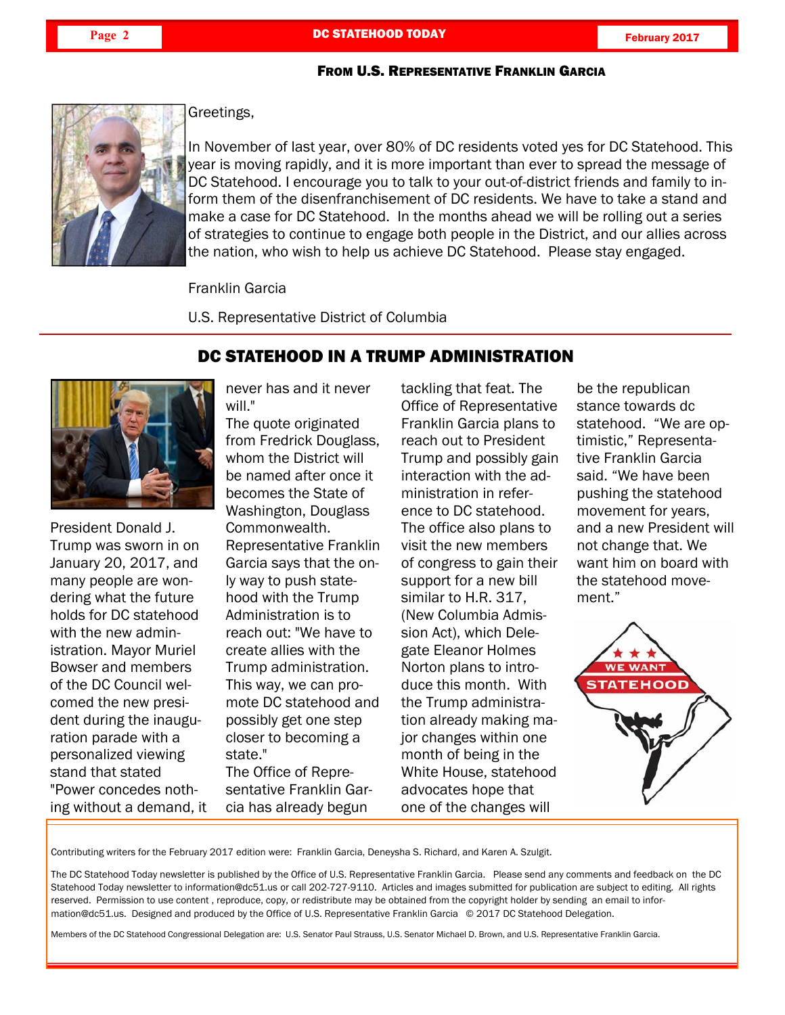DC STATEHOOD IN A TRUMP ADMINISTRATION

### FROM U.S. REPRESENTATIVE FRANKLIN GARCIA



Greetings,

In November of last year, over 80% of DC residents voted yes for DC Statehood. This year is moving rapidly, and it is more important than ever to spread the message of DC Statehood. I encourage you to talk to your out-of-district friends and family to inform them of the disenfranchisement of DC residents. We have to take a stand and make a case for DC Statehood. In the months ahead we will be rolling out a series of strategies to continue to engage both people in the District, and our allies across the nation, who wish to help us achieve DC Statehood. Please stay engaged.

Franklin Garcia

U.S. Representative District of Columbia



President Donald J. Trump was sworn in on January 20, 2017, and many people are wondering what the future holds for DC statehood with the new administration. Mayor Muriel Bowser and members of the DC Council welcomed the new president during the inauguration parade with a personalized viewing stand that stated "Power concedes nothing without a demand, it

E

never has and it never will."

The quote originated from Fredrick Douglass, whom the District will be named after once it becomes the State of Washington, Douglass Commonwealth. Representative Franklin Garcia says that the only way to push statehood with the Trump Administration is to reach out: "We have to create allies with the Trump administration. This way, we can promote DC statehood and possibly get one step closer to becoming a state." The Office of Representative Franklin Garcia has already begun

tackling that feat. The Office of Representative Franklin Garcia plans to reach out to President Trump and possibly gain interaction with the administration in reference to DC statehood. The office also plans to visit the new members of congress to gain their support for a new bill similar to H.R. 317, (New Columbia Admission Act), which Delegate Eleanor Holmes Norton plans to introduce this month. With the Trump administration already making major changes within one month of being in the White House, statehood advocates hope that one of the changes will

be the republican stance towards dc statehood. "We are optimistic," Representative Franklin Garcia said. "We have been pushing the statehood movement for years, and a new President will not change that. We want him on board with the statehood movement."



Contributing writers for the February 2017 edition were: Franklin Garcia, Deneysha S. Richard, and Karen A. Szulgit.

The DC Statehood Today newsletter is published by the Office of U.S. Representative Franklin Garcia. Please send any comments and feedback on the DC Statehood Today newsletter to information@dc51.us or call 202-727-9110. Articles and images submitted for publication are subject to editing. All rights reserved. Permission to use content , reproduce, copy, or redistribute may be obtained from the copyright holder by sending an email to information@dc51.us. Designed and produced by the Office of U.S. Representative Franklin Garcia © 2017 DC Statehood Delegation.

Members of the DC Statehood Congressional Delegation are: U.S. Senator Paul Strauss, U.S. Senator Michael D. Brown, and U.S. Representative Franklin Garcia.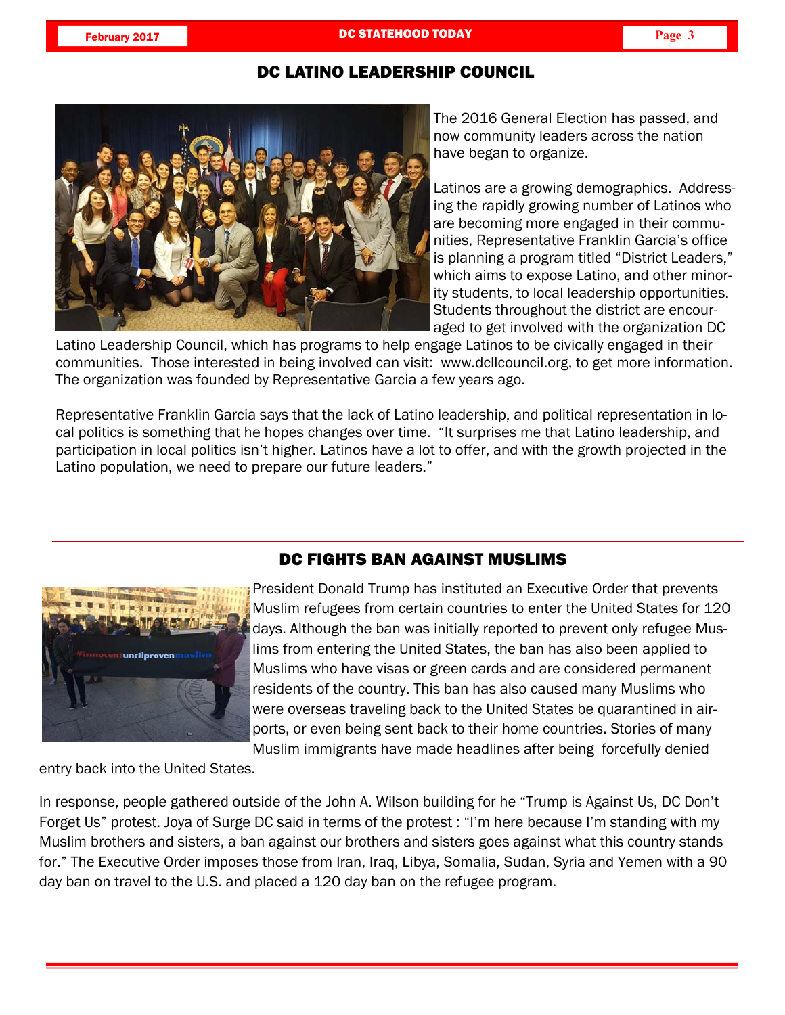# DC LATINO LEADERSHIP COUNCIL



The 2016 General Election has passed, and now community leaders across the nation have began to organize.

Latinos are a growing demographics. Addressing the rapidly growing number of Latinos who are becoming more engaged in their communities, Representative Franklin Garcia's office is planning a program titled "District Leaders," which aims to expose Latino, and other minority students, to local leadership opportunities. Students throughout the district are encouraged to get involved with the organization DC

Latino Leadership Council, which has programs to help engage Latinos to be civically engaged in their communities. Those interested in being involved can visit: www.dcllcouncil.org, to get more information. The organization was founded by Representative Garcia a few years ago.

Representative Franklin Garcia says that the lack of Latino leadership, and political representation in local politics is something that he hopes changes over time. "It surprises me that Latino leadership, and participation in local politics isn't higher. Latinos have a lot to offer, and with the growth projected in the Latino population, we need to prepare our future leaders."



# DC FIGHTS BAN AGAINST MUSLIMS

President Donald Trump has instituted an Executive Order that prevents Muslim refugees from certain countries to enter the United States for 120 days. Although the ban was initially reported to prevent only refugee Muslims from entering the United States, the ban has also been applied to Muslims who have visas or green cards and are considered permanent residents of the country. This ban has also caused many Muslims who were overseas traveling back to the United States be quarantined in airports, or even being sent back to their home countries. Stories of many Muslim immigrants have made headlines after being forcefully denied

entry back into the United States.

In response, people gathered outside of the John A. Wilson building for he "Trump is Against Us, DC Don't Forget Us" protest. Joya of Surge DC said in terms of the protest : "I'm here because I'm standing with my Muslim brothers and sisters, a ban against our brothers and sisters goes against what this country stands for." The Executive Order imposes those from Iran, Iraq, Libya, Somalia, Sudan, Syria and Yemen with a 90 day ban on travel to the U.S. and placed a 120 day ban on the refugee program.

L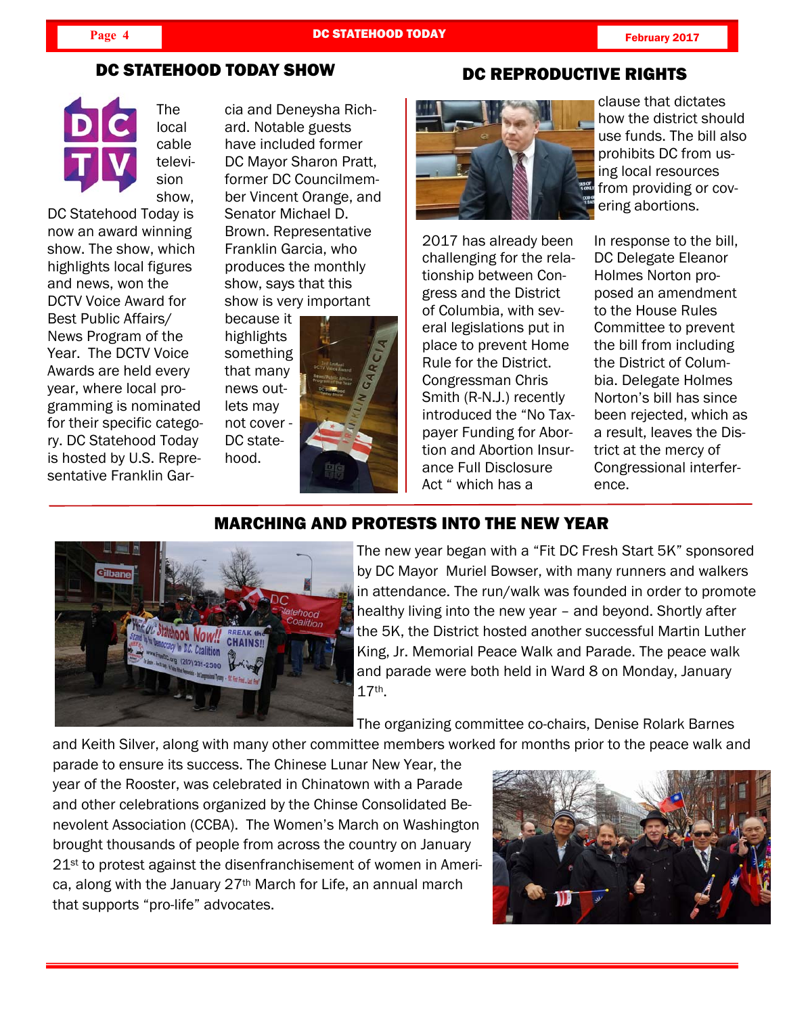DC REPRODUCTIVE RIGHTS

# DC STATEHOOD TODAY SHOW



The local cable television show,

DC Statehood Today is now an award winning show. The show, which highlights local figures and news, won the DCTV Voice Award for Best Public Affairs/ News Program of the Year. The DCTV Voice Awards are held every year, where local programming is nominated for their specific category. DC Statehood Today is hosted by U.S. Representative Franklin Gar-

E

cia and Deneysha Richard. Notable guests have included former DC Mayor Sharon Pratt, former DC Councilmember Vincent Orange, and Senator Michael D. Brown. Representative Franklin Garcia, who produces the monthly show, says that this show is very important

because it highlights something that many news outlets may not cover - DC statehood.



2017 has already been challenging for the relationship between Congress and the District of Columbia, with several legislations put in place to prevent Home Rule for the District. Congressman Chris Smith (R-N.J.) recently introduced the "No Taxpayer Funding for Abortion and Abortion Insurance Full Disclosure Act " which has a

clause that dictates how the district should use funds. The bill also prohibits DC from using local resources from providing or covering abortions.

In response to the bill, DC Delegate Eleanor Holmes Norton proposed an amendment to the House Rules Committee to prevent the bill from including the District of Columbia. Delegate Holmes Norton's bill has since been rejected, which as a result, leaves the District at the mercy of Congressional interference.



# MARCHING AND PROTESTS INTO THE NEW YEAR

The new year began with a "Fit DC Fresh Start 5K" sponsored by DC Mayor Muriel Bowser, with many runners and walkers in attendance. The run/walk was founded in order to promote healthy living into the new year – and beyond. Shortly after the 5K, the District hosted another successful Martin Luther King, Jr. Memorial Peace Walk and Parade. The peace walk and parade were both held in Ward 8 on Monday, January 17th.

The organizing committee co-chairs, Denise Rolark Barnes

and Keith Silver, along with many other committee members worked for months prior to the peace walk and

parade to ensure its success. The Chinese Lunar New Year, the year of the Rooster, was celebrated in Chinatown with a Parade and other celebrations organized by the Chinse Consolidated Benevolent Association (CCBA). The Women's March on Washington brought thousands of people from across the country on January 21<sup>st</sup> to protest against the disenfranchisement of women in America, along with the January 27th March for Life, an annual march that supports "pro-life" advocates.

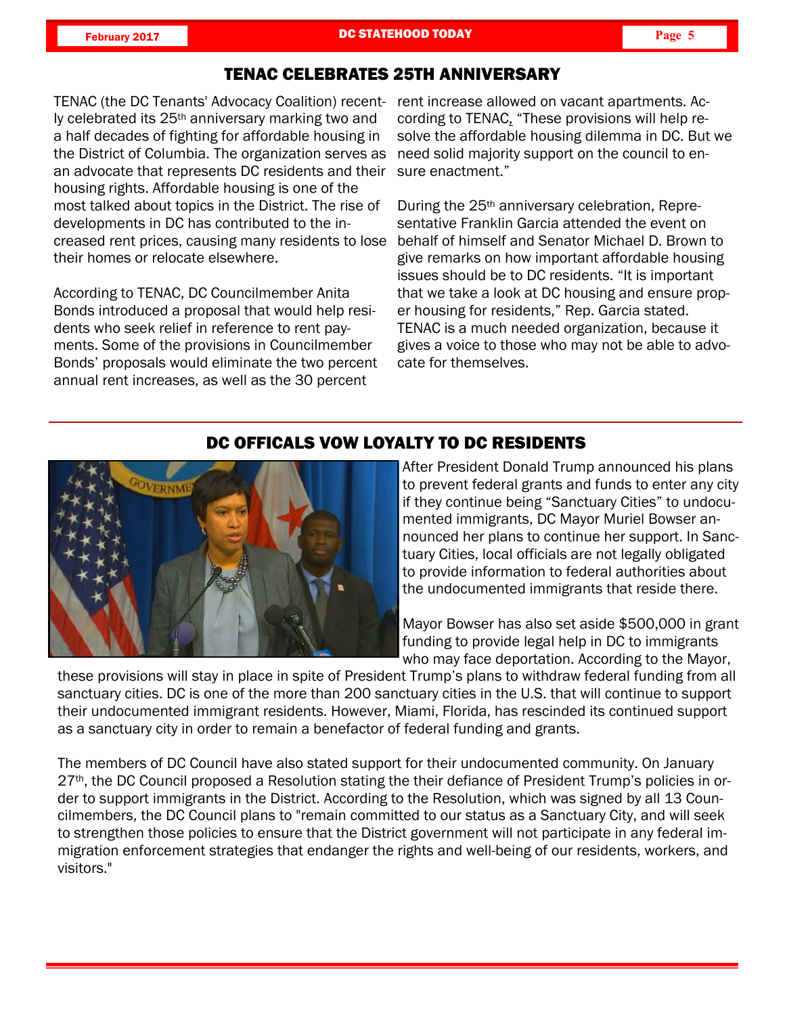**February 2017 Page 5 DC STATEHOOD TODAY Page 5 Page 5** 

## TENAC CELEBRATES 25TH ANNIVERSARY

TENAC (the DC Tenants' Advocacy Coalition) recent- rent increase allowed on vacant apartments. Acly celebrated its 25th anniversary marking two and a half decades of fighting for affordable housing in the District of Columbia. The organization serves as an advocate that represents DC residents and their housing rights. Affordable housing is one of the most talked about topics in the District. The rise of developments in DC has contributed to the increased rent prices, causing many residents to lose their homes or relocate elsewhere.

According to TENAC, DC Councilmember Anita Bonds introduced a proposal that would help residents who seek relief in reference to rent payments. Some of the provisions in Councilmember Bonds' proposals would eliminate the two percent annual rent increases, as well as the 30 percent

cording to TENAC, "These provisions will help resolve the affordable housing dilemma in DC. But we need solid majority support on the council to ensure enactment."

During the 25th anniversary celebration, Representative Franklin Garcia attended the event on behalf of himself and Senator Michael D. Brown to give remarks on how important affordable housing issues should be to DC residents. "It is important that we take a look at DC housing and ensure proper housing for residents," Rep. Garcia stated. TENAC is a much needed organization, because it gives a voice to those who may not be able to advocate for themselves.



# DC OFFICALS VOW LOYALTY TO DC RESIDENTS

After President Donald Trump announced his plans to prevent federal grants and funds to enter any city if they continue being "Sanctuary Cities" to undocumented immigrants, DC Mayor Muriel Bowser announced her plans to continue her support. In Sanctuary Cities, local officials are not legally obligated to provide information to federal authorities about the undocumented immigrants that reside there.

Mayor Bowser has also set aside \$500,000 in grant funding to provide legal help in DC to immigrants who may face deportation. According to the Mayor,

L

these provisions will stay in place in spite of President Trump's plans to withdraw federal funding from all sanctuary cities. DC is one of the more than 200 sanctuary cities in the U.S. that will continue to support their undocumented immigrant residents. However, Miami, Florida, has rescinded its continued support as a sanctuary city in order to remain a benefactor of federal funding and grants.

The members of DC Council have also stated support for their undocumented community. On January 27<sup>th</sup>, the DC Council proposed a Resolution stating the their defiance of President Trump's policies in order to support immigrants in the District. According to the Resolution, which was signed by all 13 Councilmembers, the DC Council plans to "remain committed to our status as a Sanctuary City, and will seek to strengthen those policies to ensure that the District government will not participate in any federal immigration enforcement strategies that endanger the rights and well-being of our residents, workers, and visitors."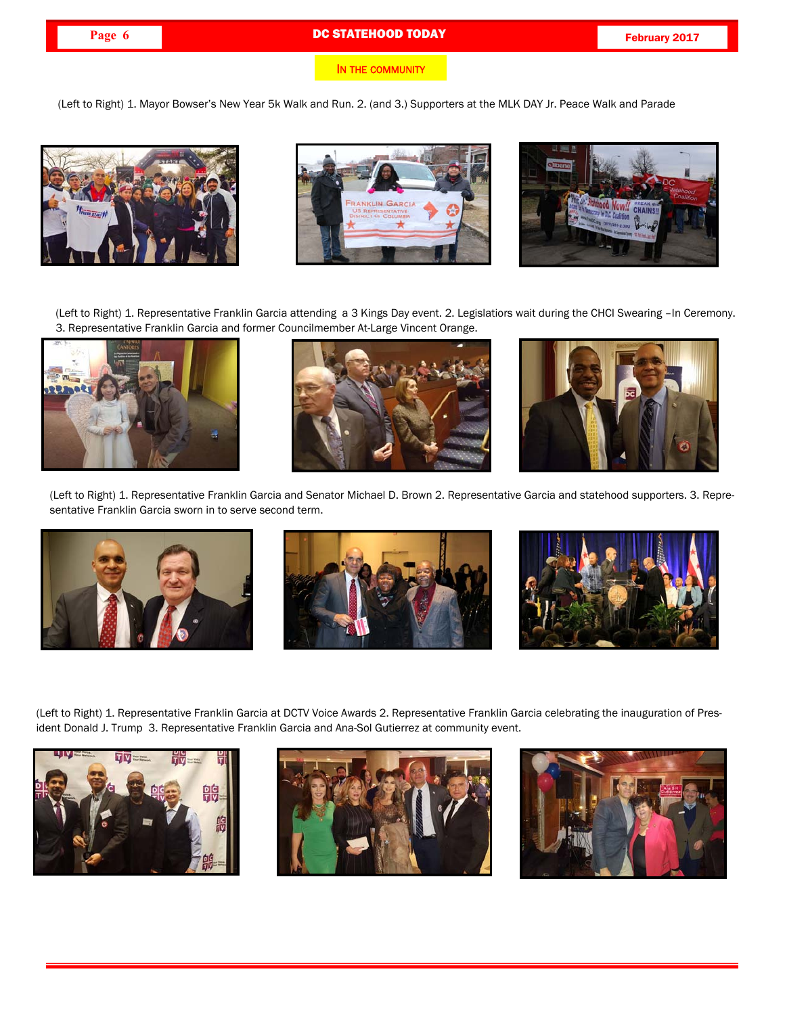### **Page 6 DC STATEHOOD TODAY Page 6 February 2017**

(Left to Right) 1. Mayor Bowser's New Year 5k Walk and Run. 2. (and 3.) Supporters at the MLK DAY Jr. Peace Walk and Parade







(Left to Right) 1. Representative Franklin Garcia attending a 3 Kings Day event. 2. Legislatiors wait during the CHCI Swearing –In Ceremony. 3. Representative Franklin Garcia and former Councilmember At-Large Vincent Orange.







(Left to Right) 1. Representative Franklin Garcia and Senator Michael D. Brown 2. Representative Garcia and statehood supporters. 3. Representative Franklin Garcia sworn in to serve second term.







(Left to Right) 1. Representative Franklin Garcia at DCTV Voice Awards 2. Representative Franklin Garcia celebrating the inauguration of President Donald J. Trump 3. Representative Franklin Garcia and Ana-Sol Gutierrez at community event.



E



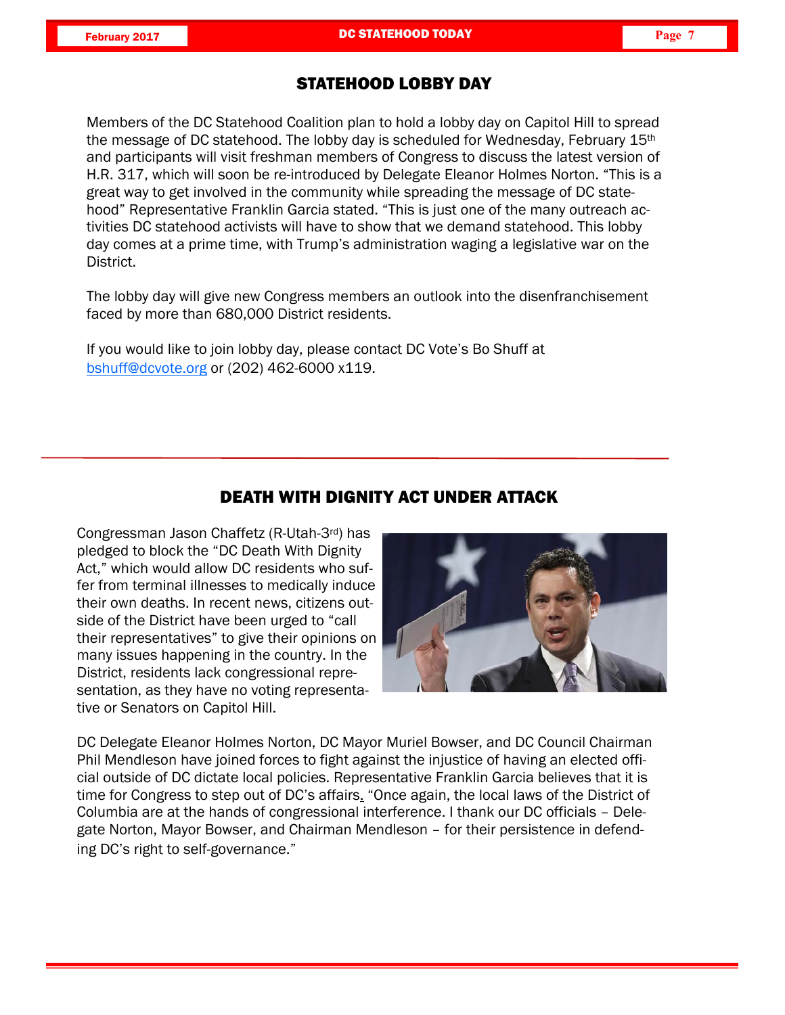## STATEHOOD LOBBY DAY

Members of the DC Statehood Coalition plan to hold a lobby day on Capitol Hill to spread the message of DC statehood. The lobby day is scheduled for Wednesday, February 15<sup>th</sup> and participants will visit freshman members of Congress to discuss the latest version of H.R. 317, which will soon be re-introduced by Delegate Eleanor Holmes Norton. "This is a great way to get involved in the community while spreading the message of DC statehood" Representative Franklin Garcia stated. "This is just one of the many outreach activities DC statehood activists will have to show that we demand statehood. This lobby day comes at a prime time, with Trump's administration waging a legislative war on the District.

The lobby day will give new Congress members an outlook into the disenfranchisement faced by more than 680,000 District residents.

If you would like to join lobby day, please contact DC Vote's Bo Shuff at bshuff@dcvote.org or (202) 462-6000 x119.

### DEATH WITH DIGNITY ACT UNDER ATTACK

Congressman Jason Chaffetz (R-Utah-3rd) has pledged to block the "DC Death With Dignity Act," which would allow DC residents who suffer from terminal illnesses to medically induce their own deaths. In recent news, citizens outside of the District have been urged to "call their representatives" to give their opinions on many issues happening in the country. In the District, residents lack congressional representation, as they have no voting representative or Senators on Capitol Hill.



DC Delegate Eleanor Holmes Norton, DC Mayor Muriel Bowser, and DC Council Chairman Phil Mendleson have joined forces to fight against the injustice of having an elected official outside of DC dictate local policies. Representative Franklin Garcia believes that it is time for Congress to step out of DC's affairs. "Once again, the local laws of the District of Columbia are at the hands of congressional interference. I thank our DC officials – Delegate Norton, Mayor Bowser, and Chairman Mendleson – for their persistence in defending DC's right to self-governance."

L